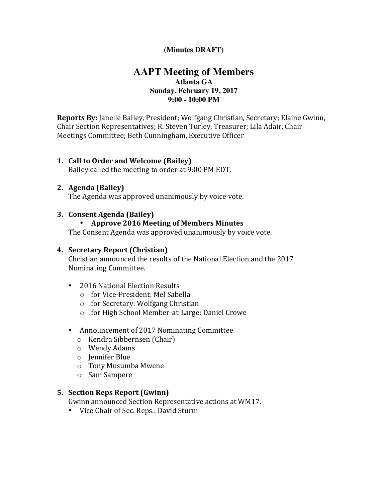## **(Minutes DRAFT)**

# **AAPT Meeting of Members Atlanta GA Sunday, February 19, 2017 9:00 - 10:00 PM**

**Reports By:** Janelle Bailey, President; Wolfgang Christian, Secretary; Elaine Gwinn, Chair Section Representatives; R. Steven Turley, Treasurer; Lila Adair, Chair Meetings Committee; Beth Cunningham, Executive Officer

### **1. Call to Order and Welcome (Bailey)**

Bailey called the meeting to order at 9:00 PM EDT.

#### **2. Agenda (Bailey)**

The Agenda was approved unanimously by voice vote.

#### **3. Consent Agenda (Bailey)**

### • **Approve 2016 Meeting of Members Minutes**

The Consent Agenda was approved unanimously by voice vote.

#### **4. Secretary Report (Christian)**

Christian announced the results of the National Election and the 2017 Nominating Committee.

- 2016 National Election Results
	- o for Vice-President: Mel Sabella
	- $\circ$  for Secretary: Wolfgang Christian
	- o for High School Member-at-Large: Daniel Crowe
- Announcement of 2017 Nominating Committee
	- $\circ$  Kendra Sibbernsen (Chair)
	- o Wendy Adams
	- o Jennifer Blue
	- o Tony Musumba Mwene
	- o Sam Sampere

### **5. Section Reps Report (Gwinn)**

Gwinn announced Section Representative actions at WM17.

• Vice Chair of Sec. Reps.: David Sturm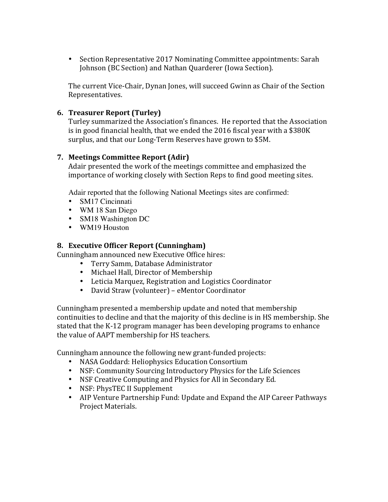• Section Representative 2017 Nominating Committee appointments: Sarah Johnson (BC Section) and Nathan Quarderer (Iowa Section).

The current Vice-Chair, Dynan Jones, will succeed Gwinn as Chair of the Section Representatives.

## **6. Treasurer Report (Turley)**

Turley summarized the Association's finances. He reported that the Association is in good financial health, that we ended the  $2016$  fiscal year with a \$380K surplus, and that our Long-Term Reserves have grown to \$5M.

### **7. Meetings Committee Report (Adir)**

Adair presented the work of the meetings committee and emphasized the importance of working closely with Section Reps to find good meeting sites.

Adair reported that the following National Meetings sites are confirmed:

- SM17 Cincinnati
- WM 18 San Diego
- SM18 Washington DC
- WM19 Houston

## **8. Executive Officer Report (Cunningham)**

Cunningham announced new Executive Office hires:

- Terry Samm, Database Administrator
- Michael Hall, Director of Membership
- Leticia Marquez, Registration and Logistics Coordinator
- David Straw (volunteer) eMentor Coordinator

Cunningham presented a membership update and noted that membership continuities to decline and that the majority of this decline is in HS membership. She stated that the K-12 program manager has been developing programs to enhance the value of AAPT membership for HS teachers.

Cunningham announce the following new grant-funded projects:

- NASA Goddard: Heliophysics Education Consortium
- NSF: Community Sourcing Introductory Physics for the Life Sciences
- NSF Creative Computing and Physics for All in Secondary Ed.
- NSF: PhysTEC II Supplement
- AIP Venture Partnership Fund: Update and Expand the AIP Career Pathways Project Materials.